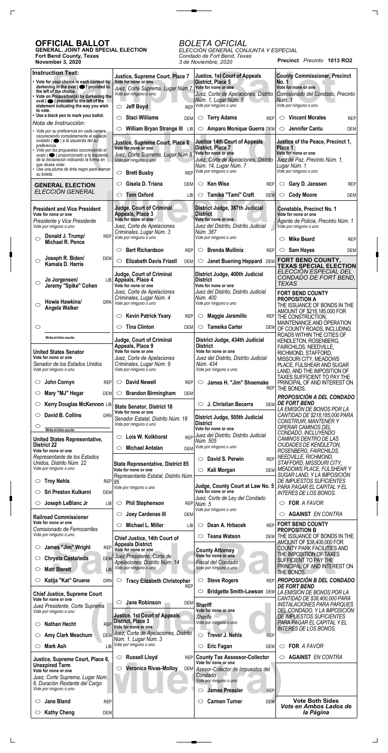## **OFFICIAL BALLOT**

 $\Gamma$ 

 $\Box$ 

**GENERAL, JOINT AND SPECIAL ELECTION Fort Bend County, Texas November 3, 2020**

**Precinct** *Precinto* **1013 RO2** *ELECCIÓN GENERAL CONJUNTA Y ESPECIAL Condado de Fort Bend, Texas 3 de Noviembre, 2020*

# *BOLETA OFICIAL*

 $\overline{\phantom{a}}$ 

| <b>Instruction Text:</b>                                                                                              | Justice, Supreme Court, Place 7                                  | <b>Justice, 1st Court of Appeals</b>                             | <b>County Commissioner, Precinct</b>                               |
|-----------------------------------------------------------------------------------------------------------------------|------------------------------------------------------------------|------------------------------------------------------------------|--------------------------------------------------------------------|
| • Vote for your choice in each contest by<br>darkening in the oval $($ $\bullet)$ provided to                         | Vote for none or one<br>Juez, Corte Suprema, Lugar Núm 7         | District, Place 5<br>Vote for none or one                        | <b>No. 1</b><br>Vote for none or one                               |
| the left of the choice.<br>• Vote on Proposition(s) by darkening the<br>$oval ( \bullet) provided to the left of the$ | Vote por ninguno o uno                                           | Juez, Corte de Apelaciones, Distrito<br>Núm. 1, Lugar Núm. 5     | Comisionado del Condado, Precinto<br>Núm. 1                        |
| statement indicating the way you wish<br>to vote.                                                                     | <b>Jeff Boyd</b><br><b>REP</b><br>$\circ$                        | Vote por ninguno o uno                                           | Vote por ninguno o uno                                             |
| • Use a black pen to mark your ballot.<br>Nota de Instrucción:                                                        | <b>Staci Williams</b><br>◯<br><b>DEM</b>                         | <b>Terry Adams</b><br>$\circ$<br><b>REP</b>                      | <b>Vincent Morales</b><br>$\circ$<br><b>REP</b>                    |
| · Vote por su preferencia en cada carrera<br>oscureciendo completamente el espacio                                    | William Bryan Strange III LIB<br>$\circlearrowright$             | <b>Amparo Monique Guerra DEM</b><br>$\circ$                      | Jennifer Cantu<br>$\circ$<br>DEM                                   |
| ovalado (● ) a la izquierda del su<br>preferencia.                                                                    | Justice, Supreme Court, Place 8<br>Vote for none or one          | <b>Justice 14th Court of Appeals</b><br><b>District, Place 7</b> | Justice of the Peace, Precinct 1,<br>Place 1                       |
| · Vote por las propuestas oscureciendo el<br>ovalo (· ) proporcionado a la izquierda                                  | Juez, Corte Suprema, Lugar Núm 8                                 | Vote for none or one                                             | Vote for none or one                                               |
| de la declaración indicando la forma en<br>que desea votar.<br>• Use una pluma de tinta negro para marcar             | Vote por ninguno o uno                                           | Juez, Corte de Apelaciones, Distrito<br>Núm. 14, Lugar Núm. 7    | Juez de Paz, Precinto Núm. 1,<br>Lugar Núm. 1                      |
| su boleta.                                                                                                            | <b>Brett Busby</b><br>$\circlearrowright$<br><b>REP</b>          | Vote por ninguno o uno                                           | Vote por ninguno o uno                                             |
| <b>GENERAL ELECTION</b><br>ELECCIÓN GENERAL                                                                           | Gisela D. Triana<br>$\circ$<br><b>DEM</b>                        | Ken Wise<br>$\circ$<br><b>REP</b>                                | Gary D. Janssen<br>$\circ$<br><b>REP</b>                           |
|                                                                                                                       | <b>Tom Oxford</b><br>$\circ$<br><b>LIB</b>                       | Tamika "Tami" Craft<br>$\circ$<br><b>DEM</b>                     | <b>Cody Moore</b><br>$\circ$<br><b>DEM</b>                         |
| <b>President and Vice President</b><br>Vote for none or one                                                           | <b>Judge, Court of Criminal</b><br>Appeals, Place 3              | District Judge, 387th Judicial<br><b>District</b>                | <b>Constable, Precinct No. 1</b><br>Vote for none or one           |
| Presidente y Vice Presidente<br>Vote por ninguno o uno                                                                | Vote for none or one<br>Juez, Corte de Apelaciones               | Vote for none or one<br>Juez del Distrito, Distrito Judicial     | Agente de Policia, Precinto Núm. 1<br>Vote por ninguno o uno       |
| Donald J. Trump/<br><b>REP</b><br>◯                                                                                   | Criminales, Lugar Núm. 3<br>Vote por ninguno o uno               | Núm. 387<br>Vote por ninguno o uno                               | <b>Mike Beard</b><br>$\circlearrowright$                           |
| Michael R. Pence                                                                                                      | <b>Bert Richardson</b><br>◯<br><b>REP</b>                        | <b>Brenda Mullinix</b><br>$\circ$<br><b>REP</b>                  | <b>REP</b><br>Sam Hayes<br>$\circ$                                 |
| Joseph R. Biden/<br><b>DEM</b><br>◯                                                                                   | <b>Elizabeth Davis Frizell</b><br>$\bigcirc$<br><b>DEM</b>       | Janet Buening Heppard DEM<br>$\circ$                             | <b>DEM</b><br>FORT BEND COUNTY,                                    |
| Kamala D. Harris                                                                                                      |                                                                  |                                                                  | <b>TEXAS SPECIAL ELECTION</b><br>ELECCIÓN ESPECIAL DEL             |
| Jo Jorgensen/<br>◯                                                                                                    | Judge, Court of Criminal<br>LIB Appeals, Place 4                 | District Judge, 400th Judicial<br><b>District</b>                | CONDADO DE FORT BEND,<br><b>TEXAS</b>                              |
| Jeremy "Spike" Cohen                                                                                                  | Vote for none or one<br>Juez, Corte de Apelaciones               | Vote for none or one<br>Juez del Distrito, Distrito Judicial     | <b>FORT BEND COUNTY</b>                                            |
| Howie Hawkins/<br><b>GRN</b><br>◯                                                                                     | Criminales, Lugar Núm. 4<br>Vote por ninguno o uno               | Núm. 400<br>Vote por ninguno o uno                               | <b>PROPOSITION A</b><br>THE ISSUANCE OF BONDS IN THE               |
| Angela Walker                                                                                                         | <b>Kevin Patrick Yeary</b><br>$\circ$<br><b>REP</b>              | Maggie Jaramillo<br>$\circ$                                      | AMOUNT OF \$218,185,000 FOR<br>REP THE CONSTRUCTION,               |
| $\circlearrowright$                                                                                                   | <b>Tina Clinton</b><br>$\circlearrowright$<br><b>DEM</b>         | <b>Tameika Carter</b><br>$\circ$<br><b>DEM</b>                   | MAINTENANCE AND OPERATION                                          |
| Write-in/Voto escrito                                                                                                 |                                                                  |                                                                  | OF COUNTY ROADS, INCLUDING<br>ROADS WITHIN THE CITIES OF           |
|                                                                                                                       | <b>Judge, Court of Criminal</b><br>Appeals, Place 9              | District Judge, 434th Judicial<br><b>District</b>                | KENDLETON, ROSENBERG,<br>FAIRCHILDS, NEEDVILLE,                    |
| <b>United States Senator</b><br>Vote for none or one                                                                  | Vote for none or one<br>Juez, Corte de Apelaciones               | Vote for none or one<br>Juez del Distrito, Distrito Judicial     | RICHMOND, STAFFORD,<br>MISSOURI CITY, MEADOWS                      |
| Senador de los Estados Unidos<br>Vote por ninguno o uno                                                               | Criminales, Lugar Núm. 9<br>Vote por ninguno o uno               | Núm. 434<br>Vote por ninguno o uno                               | PLACE, FULSHEAR AND SUGAR<br>LAND, AND THE IMPOSITION OF           |
| John Cornyn<br>O<br><b>REP</b>                                                                                        | <b>David Newell</b><br>$\circ$<br><b>REP</b>                     | James H. "Jim" Shoemake<br>$\circlearrowright$                   | TAXES SUFFICIENT TO PAY THE<br>PRINCIPAL OF AND INTEREST ON        |
| Mary "MJ" Hegar<br><b>DEM</b><br>O                                                                                    | <b>Brandon Birmingham</b><br>$\circ$<br><b>DEM</b>               | <b>REP</b>                                                       | THE BONDS.                                                         |
| Kerry Douglas McKennon LIB<br>O                                                                                       |                                                                  | J. Christian Becerra<br>◯<br><b>DEM</b>                          | PROPOSICIÓN A DEL CONDADO<br><b>DE FORT BEND</b>                   |
| David B. Collins<br>◯<br><b>GRN</b>                                                                                   | <b>State Senator, District 18</b><br>Vote for none or one        |                                                                  | LA EMISIÓN DE BONOS POR LA<br>CANTIDAD DE \$218,185,000 PARA       |
| O                                                                                                                     | Senador Estatal, Distrito Núm. 18<br>Vote por ninguno o uno      | District Judge, 505th Judicial<br><b>District</b>                | <b>CONSTRUIR, MANTENER Y</b><br>OPERAR CAMINOS DEL                 |
| Write-in/Voto escrito                                                                                                 | Lois W. Kolkhorst<br><b>REP</b><br>$\circ$                       | Vote for none or one<br>Juez del Distrito, Distrito Judicial     | CONDADO, INCLUYENDO                                                |
| <b>United States Representative,</b><br><b>District 22</b>                                                            | <b>Michael Antalan</b><br><b>DEM</b><br>$\circlearrowright$      | Núm. 505<br>Vote por ninguno o uno                               | CAMINOS DENTRO DE LAS<br>CIUDADES DE KENDLETON,                    |
| Vote for none or one<br>Representante de los Estados                                                                  |                                                                  | David S. Perwin<br><b>REP</b><br>$\circ$                         | ROSENBERG, FAIRCHILDS,<br>NEEDVILLE, RICHMOND,                     |
| Unidos, Distrito Núm. 22<br>Vote por ninguno o uno                                                                    | <b>State Representative, District 85</b><br>Vote for none or one | Kali Morgan<br>$\circ$<br><b>DEM</b>                             | STAFFORD, MISSOURI CITY,<br>MEADOWS PLACE, FULSHEAR Y              |
| <b>Troy Nehls</b><br>REP 85<br>O                                                                                      | Representante Estatal, Distrito Núm.                             |                                                                  | SUGAR LAND, Y LA IMPOSICIÓN<br>DE IMPUESTOS SUFICIENTES            |
| <b>Sri Preston Kulkarni</b><br>◯<br><b>DEM</b>                                                                        | Vote por ninguno o uno                                           | Judge, County Court at Law No. 5<br>Vote for none or one         | PARA PAGAR EL CAPITAL Y EL<br>INTERÉS DE LOS BONOS.                |
| Joseph LeBlanc Jr<br><b>LIB</b><br>O                                                                                  | <b>Phil Stephenson</b><br>$\circ$                                | Juez, Corte de Ley del Condado<br>REP Núm. 5                     | FOR A FAVOR<br>O                                                   |
| <b>Railroad Commissioner</b>                                                                                          | Joey Cardenas III<br>$\circlearrowright$<br><b>DEM</b>           | Vote por ninguno o uno                                           | <b>AGAINST EN CONTRA</b><br>O                                      |
| Vote for none or one                                                                                                  | Michael L. Miller<br>$\circlearrowright$<br>LIB                  | Dean A. Hrbacek<br>$\circ$<br><b>REP</b>                         | <b>FORT BEND COUNTY</b>                                            |
| Comisionado de Ferrocarriles<br>Vote por ninguno o uno                                                                | Chief Justice, 14th Court of                                     | <b>Teana Watson</b><br>$\circ$<br><b>DEM</b>                     | <b>PROPOSITION B</b><br>THE ISSUANCE OF BONDS IN THE               |
| James "Jim" Wright<br><b>REP</b><br>O                                                                                 | <b>Appeals District</b><br>Vote for none or one                  | <b>County Attorney</b>                                           | AMOUNT OF \$38,400,000 FOR<br><b>COUNTY PARK FACILITIES AND</b>    |
| Chrysta Castañeda<br><b>DEM</b><br>C                                                                                  | Juez Presidente, Corte de                                        | Vote for none or one<br>Fiscal del Condado                       | THE IMPOSITION OF TAXES<br>SUFFICIENT TO PAY THE                   |
| <b>Matt Sterett</b><br>O<br>LIBI                                                                                      | Apelaciones, Distrito Núm. 14<br>Vote por ninguno o uno          | Vote por ninguno o uno                                           | PRINCIPAL OF AND INTEREST ON<br>THE BONDS.                         |
| Katija "Kat" Gruene<br>$\circlearrowright$<br><b>GRN</b>                                                              | <b>Tracy Elizabeth Christopher</b><br>$\circ$                    | <b>Steve Rogers</b><br>$\circ$<br><b>REP</b>                     | PROPOSICIÓN B DEL CONDADO                                          |
| <b>Chief Justice, Supreme Court</b>                                                                                   | <b>REP</b>                                                       | Bridgette Smith-Lawson DEM<br>$\circ$                            | <b>DE FORT BEND</b><br>LA EMISIÓN DE BONOS POR LA                  |
| Vote for none or one<br>Juez Presidente, Corte Suprema                                                                | $\circ$ Jane Robinson                                            | DEM Sheriff                                                      | CANTIDAD DE \$38,400,000 PARA<br><b>INSTALACIONES PARA PARQUES</b> |
| Vote por ninguno o uno                                                                                                | <b>Justice, 1st Court of Appeals</b>                             | Vote for none or one<br>Sherife                                  | DEL CONDADO, Y LA IMPOSICIÓN<br><b>DE IMPUESTOS SUFICIENTES</b>    |
| <b>Nathan Hecht</b><br><b>REP</b><br>$\circ$                                                                          | District, Place 3<br>Vote for none or one                        | Vote por ninguno o uno                                           | PARA PAGAR EL CAPITAL Y EL<br>INTERÉS DE LOS BONOS.                |
| Amy Clark Meachum<br><b>DEM</b><br>O                                                                                  | Juez, Corte de Apelaciones, Distrito<br>Núm. 1, Lugar Núm. 3     | <b>Trever J. Nehls</b><br>$\circlearrowright$<br><b>REP</b>      |                                                                    |
| <b>Mark Ash</b><br>O<br><b>LIB</b>                                                                                    | Vote por ninguno o uno                                           | <b>Eric Fagan</b><br>$\circlearrowright$<br>DEM                  | FOR A FAVOR<br>O                                                   |
| Justice, Supreme Court, Place 6,                                                                                      | <b>Russell Lloyd</b><br>$\circ$                                  | REP County Tax Assessor-Collector<br>Vote for none or one        | <b>AGAINST EN CONTRA</b><br>$\circ$                                |
| <b>Unexpired Term</b><br>Vote for none or one                                                                         | <b>Veronica Rivas-Molloy</b><br>$\circ$                          | DEM Asesor-Colector de Impuestos del                             |                                                                    |
| Juez, Corte Suprema, Lugar Núm.<br>6. Duración Restante del Cargo                                                     |                                                                  | Condado<br>Vote por ninguno o uno                                |                                                                    |
| Vote por ninguno o uno                                                                                                |                                                                  | <b>James Pressler</b><br><b>REP</b><br>O                         |                                                                    |
| <b>Jane Bland</b><br><b>REP</b><br>O                                                                                  |                                                                  | <b>Carmen Turner</b><br><b>DEM</b><br>O                          | <b>Vote Both Sides</b><br>Vote en Ambos Lados de                   |
| <b>Kathy Cheng</b><br><b>DEM</b><br>O                                                                                 |                                                                  |                                                                  | la Página                                                          |

 $\Box$